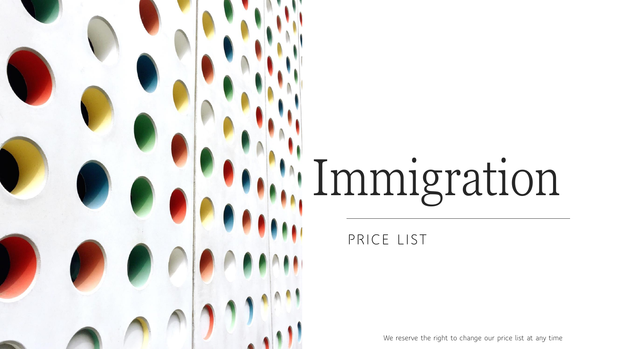## Immigration

## PRICE LIST

We reserve the right to change our price list at any time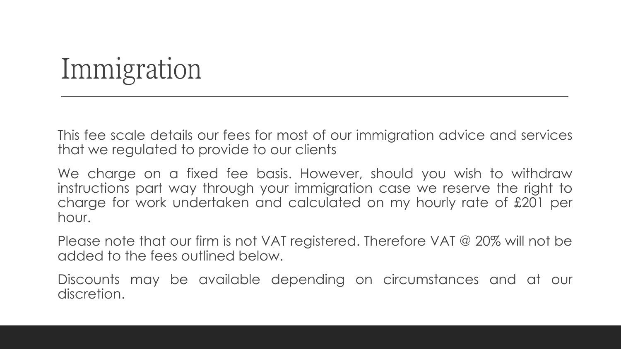## Immigration

This fee scale details our fees for most of our immigration advice and services that we regulated to provide to our clients

We charge on a fixed fee basis. However, should you wish to withdraw instructions part way through your immigration case we reserve the right to charge for work undertaken and calculated on my hourly rate of £201 per hour.

Please note that our firm is not VAT registered. Therefore VAT @ 20% will not be added to the fees outlined below.

Discounts may be available depending on circumstances and at our discretion.